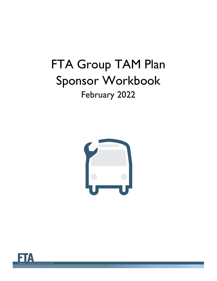# FTA Group TAM Plan Sponsor Workbook February 2022



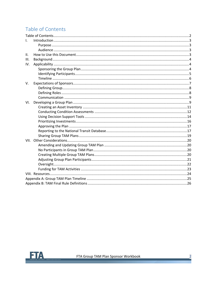# <span id="page-1-0"></span>Table of Contents

| L.   |  |  |  |  |  |
|------|--|--|--|--|--|
|      |  |  |  |  |  |
|      |  |  |  |  |  |
| II.  |  |  |  |  |  |
| III. |  |  |  |  |  |
| IV.  |  |  |  |  |  |
|      |  |  |  |  |  |
|      |  |  |  |  |  |
|      |  |  |  |  |  |
| V.   |  |  |  |  |  |
|      |  |  |  |  |  |
|      |  |  |  |  |  |
|      |  |  |  |  |  |
| VI.  |  |  |  |  |  |
|      |  |  |  |  |  |
|      |  |  |  |  |  |
|      |  |  |  |  |  |
|      |  |  |  |  |  |
|      |  |  |  |  |  |
|      |  |  |  |  |  |
|      |  |  |  |  |  |
|      |  |  |  |  |  |
|      |  |  |  |  |  |
|      |  |  |  |  |  |
|      |  |  |  |  |  |
|      |  |  |  |  |  |
|      |  |  |  |  |  |
|      |  |  |  |  |  |
|      |  |  |  |  |  |
|      |  |  |  |  |  |
|      |  |  |  |  |  |

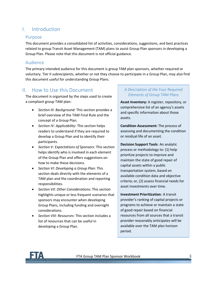# <span id="page-2-0"></span>I. Introduction

#### <span id="page-2-1"></span>Purpose

This document provides a consolidated list of activities, considerations, suggestions, and best practices related to group Transit Asset Management (TAM) plans to assist Group Plan sponsors in developing a Group Plan. Please note that this document is not official guidance.

## <span id="page-2-2"></span>Audience

The primary intended audience for this document is group TAM plan sponsors, whether required or voluntary. Tier II subrecipients, whether or not they choose to participate in a Group Plan, may also find this document useful for understanding Group Plans.

# <span id="page-2-3"></span>II. How to Use this Document

The document is organized by the steps used to create a compliant group TAM plan:

- *Section [III: Background](#page-3-0)*: This section provides a brief overview of the TAM Final Rule and the concept of a Group Plan.
- *Section [IV: Applicability](#page-3-1)*: This section helps readers to understand if they are required to develop a Group Plan and to identify their participants.
- *Section [V: Expectations of Sponsors:](#page-6-0)* This section helps identify who is involved in each element of the Group Plan and offers suggestions on how to make these decisions.
- *Section [VI:](#page-8-1) Developing [a Group Plan:](#page-8-1)* This section deals directly with the elements of a TAM plan and the coordination and reporting responsibilities.
- *Section [VII: Other Considerations](#page-19-0)*: This section highlights unique or less frequent scenarios that sponsors may encounter when developing Group Plans, including funding and oversight considerations.
- *Section [VIII: Resources](#page-23-0)*: This section includes a list of resources that can be useful in developing a Group Plan.

## *A Description of the Four Required Elements of Group TAM Plans*

**Asset Inventory:** A register, repository, or comprehensive list of an agency's assets and specific information about those assets.

**Condition Assessment:** The process of assessing and documenting the condition or residual life of an asset.

**Decision Support Tools**: An analytic process or methodology to: (1) help prioritize projects to improve and maintain the state of good repair of capital assets within a public transportation system, based on available condition data and objective criteria; or, (2) assess financial needs for asset investments over time.

**Investment Prioritization**: A transit provider's ranking of capital projects or programs to achieve or maintain a state of good repair based on financial resources from all sources that a transit provider reasonably anticipates will be available over the TAM plan horizon period.

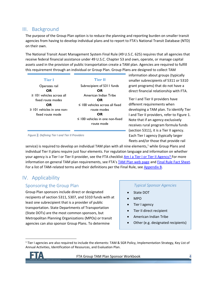# <span id="page-3-0"></span>III. Background

The purpose of the Group Plan option is to reduce the planning and reporting burden on smaller transit agencies from having to develop individual plans and to report to FTA's National Transit Database (NTD) on their own.

The National Transit Asset Management System Final Rule (49 U.S.C. 625) requires that all agencies that receive federal financial assistance under 49 U.S.C. Chapter 53 and own, operate, or manage capital assets used in the provision of public transportation create a TAM plan. Agencies are required to fulfill this requirement through an individual or Group Plan. Group Plans are designed to collect TAM

| <b>Tier I</b>                   | <b>Tier II</b>                       |
|---------------------------------|--------------------------------------|
| Operates rail                   | Subrecipient of 5311 funds           |
| OR                              | OR                                   |
| $\geq$ 101 vehicles across all  | American Indian Tribe                |
| fixed route modes               | OR                                   |
| OR                              | $\leq$ 100 vehicles across all fixed |
| $\geq$ 101 vehicles in one non- | route modes                          |
| fixed route mode                | OR                                   |
|                                 | $\leq$ 100 vehicles in one non-fixed |
|                                 | route mode                           |

information about groups (typically smaller subrecipients of 5311 or 5310 grant programs) that do not have a direct financial relationship with FTA.

Tier I and Tier II providers have different requirements when developing a TAM plan. To identify Tier I and Tier II providers, refer to Figure 1. Note that if an agency exclusively receives rural program formula funds (section 5311), it is a Tier II agency. Each Tier I agency (typically larger fleets and/or those that provide rail

*Figure 1: Defining Tier I and Tier II Providers*

service) is required to develop an individual TAM plan with all nine elements,<sup>1</sup> while Group Plans and individual Tier II plans require just four elements. For regulation language and information on whether your agency is a Tier I or Tier II provider, see the FTA checklist [Am I a Tier](https://www.transit.dot.gov/TAM/gettingstarted/TierI-II_workflow) I or Tier II Agency? For more information on general TAM plan requirements, see FTA's [TAM Plan web page](https://www.transit.dot.gov/TAM/TAMPlans) and [Final Rule Fact Sheet.](https://www.transit.dot.gov/TAM/rulemaking/finalrulefactsheet) For a list of TAM-related terms and their definitions per the Final Rule, see Appendix B.

# <span id="page-3-1"></span>IV. Applicability

## <span id="page-3-2"></span>Sponsoring the Group Plan

Group Plan sponsors include direct or designated recipients of section 5311, 5307, and 5310 funds with at least one subrecipient that is a provider of public transportation. State Departments of Transportation (State DOTs) are the most common sponsors, but Metropolitan Planning Organizations (MPOs) or transit agencies can also sponsor Group Plans. To determine

#### *Typical Sponsor Agencies*

- State DOT
- MPO
- Tier I agency
- Tier II direct recipient
- American Indian Tribe
- Other (e.g. designated recipients)

<sup>1</sup> Tier I agencies are also required to include the elements: TAM & SGR Policy, Implementation Strategy, Key List of Annual Activities, Identification of Resources, and Evaluation Plan.

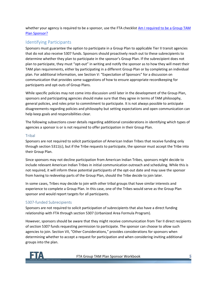whether your agency is required to be a sponsor, use the FTA checklist Am I required to be a Group TAM [Plan Sponsor?](https://www.transit.dot.gov/TAM/gettingstarted/Sponsor_workflow)

## <span id="page-4-0"></span>Identifying Participants

Sponsors must guarantee the option to participate in a Group Plan to applicable Tier II transit agencies that do not also receive 5307 funds. Sponsors should proactively reach out to these subrecipients to determine whether they plan to participate in the sponsor's Group Plan. If the subrecipient does not plan to participate, they must "opt-out" in writing and notify the sponsor as to how they will meet their TAM plan requirements, either by participating in a different Group Plan or by completing an individual plan. For additional information, see Section [V:](#page-6-0) "Expectation of Sponsors" for a discussion on communication that provides some suggestions of how to ensure appropriate recordkeeping for participants and opt-outs of Group Plans.

While specific policies may not come into discussion until later in the development of the Group Plan, sponsors and participating agencies should make sure that they agree in terms of TAM philosophy, general policies, and roles prior to commitment to participate. It is not always possible to anticipate disagreements regarding policies and philosophy but setting expectations and open communication can help keep goals and responsibilities clear.

The following subsections cover details regarding additional considerations in identifying which types of agencies a sponsor is or is not required to offer participation in their Group Plan.

#### Tribal

Sponsors are not required to solicit participation of American Indian Tribes that receive funding only through section 5311(c), but if the Tribe requests to participate, the sponsor must accept the Tribe into their Group Plan.

Since sponsors may not decline participation from American Indian Tribes, sponsors might decide to include relevant American Indian Tribes in initial communication outreach and scheduling. While this is not required, it will inform these potential participants of the opt-out date and may save the sponsor from having to redevelop parts of the Group Plan, should the Tribe decide to join later.

In some cases, Tribes may decide to join with other tribal groups that have similar interests and experience to complete a Group Plan. In this case, one of the Tribes would serve as the Group Plan sponsor and would report targets for all participants.

#### 5307-funded Subrecipients

Sponsors are not required to solicit participation of subrecipients that also have a direct funding relationship with FTA through section 5307 (Urbanized Area Formula Program).

However, sponsors should be aware that they might receive communication from Tier II direct recipients of section 5307 funds requesting permission to participate. The sponsor can choose to allow such agencies to join. Section VII, "[Other Considerations](#page-19-0)," provides considerations for sponsors when determining whether to accept a request for participation and when considering inviting additional groups into the plan.

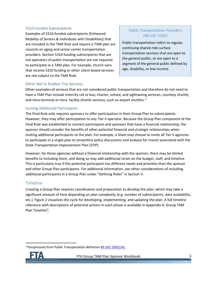#### 5310-funded Subrecipients

Examples of 5310-funded subrecipients (Enhanced Mobility of Seniors & Individuals with Disabilities) that are included in the TAM Rule and require a TAM plan are councils on aging and senior center transportation providers. Section 5310 funding subrecipients that are not operators of *public transportation* are not required to participate in a TAM plan. For example, church vans that receive 5310 funding or other client-based services are not subject to the TAM Rule.

## *Public Transportation Providers (49 USC 5302)*

Public transportation refers to regular, continuing shared-ride surface transportation services that are open to the general public, or are open to a segment of the general public defined by age, disability, or low income.

#### Other Rail or Rubber Tire Services

Other examples of services that are not considered public transportation and therefore do not need to have a TAM Plan include intercity rail or bus; charter, school, and sightseeing services; courtesy shuttle; and intra-terminal or intra- facility shuttle services, such as airport shuttles.<sup>2</sup>

TY

#### Inviting Additional Participants

The Final Rule only requires sponsors to offer participation in their Group Plan to subrecipients. However, they may offer participation to any Tier II operator. Because the Group Plan component of the Final Rule was established to connect participants and sponsors that have a financial relationship, the sponsor should consider the benefits of other potential financial and strategic relationships when inviting additional participants to the plan. For example, a State may choose to invite all Tier II agencies to participate in a single plan to streamline policy discussions and analysis for transit associated with the State Transportation Improvement Plan (STIP).

However, for those agencies without a financial relationship with the sponsor, there may be limited benefits to including them, and doing so may add additional strain on the budget, staff, and timeline. This is particularly true if the potential participant has different needs and priorities than the sponsor and other Group Plan participants. For additional information, see other considerations of including additional participants in a Group Plan under "[Defining Roles](#page-7-1)" in Section [V.](#page-6-0)

## <span id="page-5-0"></span>Timeline

Creating a Group Plan requires coordination and preparation to develop the plan, which may take a significant amount of time depending on plan complexity (e.g. number of subrecipients, data availability, etc.). [Figure 2](#page-6-1) visualizes the cycle for developing, implementing, and updating the plan. A full timeline reference with descriptions of potential actions in each phase is available in Appendix [A: Group TAM](#page-24-0)  [Plan Timeline](#page-24-0)".

<sup>&</sup>lt;sup>2</sup> Paraphrased from Public Transportation definition [49 USC 5302\(14\).](https://www.law.cornell.edu/uscode/text/49/5302)

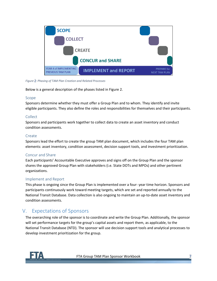

*Figure 2: Phasing of TAM Plan Creation and Related Processes*

<span id="page-6-1"></span>Below is a general description of the phases listed in Figure 2.

#### Scope

Sponsors determine whether they must offer a Group Plan and to whom. They identify and invite eligible participants. They also define the roles and responsibilities for themselves and their participants.

## Collect

Sponsors and participants work together to collect data to create an asset inventory and conduct condition assessments.

## **Create**

Sponsors lead the effort to create the group TAM plan document, which includes the four TAM plan elements: asset inventory, condition assessment, decision support tools, and investment prioritization.

## Concur and Share

Each participants' Accountable Executive approves and signs off on the Group Plan and the sponsor shares the approved Group Plan with stakeholders (i.e. State DOTs and MPOs) and other pertinent organizations.

## Implement and Report

This phase is ongoing since the Group Plan is implemented over a four- year time horizon. Sponsors and participants continuously work toward meeting targets, which are set and reported annually to the National Transit Database. Data collection is also ongoing to maintain an up-to-date asset inventory and condition assessments.

# <span id="page-6-0"></span>V. Expectations of Sponsors

The overarching role of the sponsor is to coordinate and write the Group Plan. Additionally, the sponsor will set performance targets for the group's capital assets and report them, as applicable, to the National Transit Database (NTD). The sponsor will use decision support tools and analytical processes to develop investment prioritization for the group.

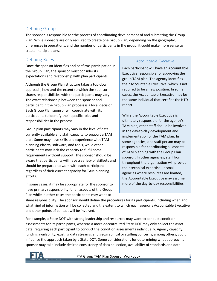## <span id="page-7-0"></span>Defining Group

The sponsor is responsible for the process of coordinating development of and submitting the Group Plan. While sponsors are only required to create one Group Plan, depending on the geography, differences in operations, and the number of participants in the group, it could make more sense to create multiple plans.

## <span id="page-7-1"></span>Defining Roles

Once the sponsor identifies and confirms participation in the Group Plan, the sponsor must consider its expectations and relationship with plan participants.

Although the Group Plan structure takes a top-down approach, how and the extent to which the sponsor shares responsibilities with the participants may vary. The exact relationship between the sponsor and participant in the Group Plan process is a local decision. Each Group Plan sponsor will coordinate with its participants to identify their specific roles and responsibilities in the process.

Group plan participants may vary in the level of data currently available and staff capacity to support a TAM plan. Some may have skills and experience with TAM planning efforts, software, and tools, while other participants may lack the capacity to fulfill some requirements without support. The sponsor should be aware that participants will have a variety of skillsets and should be prepared to work with each participant regardless of their current capacity for TAM planning efforts.

In some cases, it may be appropriate for the sponsor to have primary responsibility for all aspects of the Group Plan while in other cases the participants may want to

#### *Accountable Executive*

Each participant will have an Accountable Executive responsible for approving the group TAM plan. The agency identifies their Accountable Executive, which is not required to be a new position. In some cases, the Accountable Executive may be the same individual that certifies the NTD report.

While the Accountable Executive is ultimately responsible for the agency's TAM plan, other staff should be involved in the day-to-day development and implementation of the TAM plan. In some agencies, one staff person may be responsible for coordinating all aspects of TAM planning with the Group Plan sponsor. In other agencies, staff from throughout the organization will provide their technical expertise. In small agencies where resources are limited, the Accountable Executive may assume more of the day-to-day responsibilities.

share responsibility. The sponsor should define the procedures for its participants, including when and what kind of information will be collected and the extent to which each agency's Accountable Executive and other points of contact will be involved.

For example, a State DOT with strong leadership and resources may want to conduct condition assessments for its participants, whereas a more decentralized State DOT may only collect the asset data, requiring each participant to conduct the condition assessments individually. Agency capacity, funding availability, existing data streams, and geographical or staffing concerns, among others, could influence the approach taken by a State DOT. Some considerations for determining what approach a sponsor may take include desired consistency of data collection, availability of standards and data

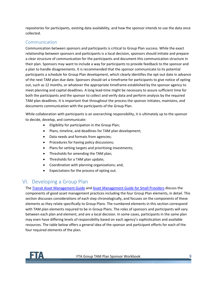repositories for participants, existing data availability, and how the sponsor intends to use the data once collected.

## <span id="page-8-0"></span>Communication

Communication between sponsors and participants is critical to Group Plan success. While the exact relationship between sponsors and participants is a local decision, sponsors should initiate and prepare a clear structure of communication for the participants and document this communication structure in their plan. Sponsors may want to include a way for participants to provide feedback to the sponsor and a plan to handle disagreements. It is recommended that the sponsor communicate to its potential participants a schedule for Group Plan development, which clearly identifies the opt-out date in advance of the next TAM plan due date. Sponsors should set a timeframe for participants to give notice of opting out, such as 12 months, or whatever the appropriate timeframe established by the sponsor agency to meet planning and capital deadlines. A long lead-time might be necessary to assure sufficient time for both the participants and the sponsor to collect and verify data and perform analysis by the required TAM plan deadlines. It is important that throughout the process the sponsor initiates, maintains, and documents communication with the participants of the Group Plan.

While collaboration with participants is an overarching responsibility, it is ultimately up to the sponsor to decide, develop, and communicate:

- Eligibility for participation in the Group Plan;
- Plans, timeline, and deadlines for TAM plan development;
- Data needs and formats from agencies;
- Procedures for having policy discussions;
- Plans for setting targets and prioritizing investments;
- Thresholds for amending the TAM plan;
- Thresholds for a TAM plan update;
- Coordination with planning organizations; and,
- Expectations for the process of opting out.

# <span id="page-8-1"></span>VI. Developing a Group Plan

The [Transit Asset Management Guide](https://www.transit.dot.gov/research-innovation/transit-asset-management-guide-fta-report-no-0098) and [Asset Management Guide for Small Providers](https://www.transit.dot.gov/regulations-and-guidance/asset-management/asset-management-guide-small-providers-fta-report-no-0092) discuss the components of good asset management practices including the four Group Plan elements, in detail. This section discusses considerations of each step chronologically, and focuses on the components of these elements as they relate specifically to Group Plans. The numbered elements in this section correspond with TAM plan elements required to be in Group Plans. The roles of sponsors and participants will vary between each plan and element, and are a local decision. In some cases, participants in the same plan may even have differing levels of responsibility based on each agency's sophistication and available resources. The table below offers a general idea of the sponsor and participant efforts for each of the four required elements of the plan.

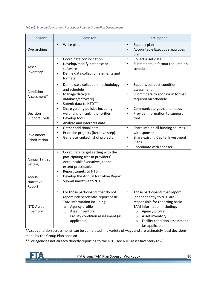#### *Table 1: Example Sponsor and Participant Roles in Group Plan Development*

| Element                          | Sponsor                                                                                                                                                                                                                                       | Participant                                                                                                                                                                                                                                           |
|----------------------------------|-----------------------------------------------------------------------------------------------------------------------------------------------------------------------------------------------------------------------------------------------|-------------------------------------------------------------------------------------------------------------------------------------------------------------------------------------------------------------------------------------------------------|
| Overarching                      | Write plan<br>$\bullet$                                                                                                                                                                                                                       | Support plan<br>$\bullet$<br>Accountable Executive approves<br>plan                                                                                                                                                                                   |
| Asset<br>Inventory               | Coordinate consolidation<br>$\bullet$<br>Develop/modify database or<br>$\bullet$<br>software<br>Define data collection elements and<br>$\bullet$<br>formats                                                                                   | Collect asset data<br>$\bullet$<br>Submit data in format required on<br>$\bullet$<br>schedule                                                                                                                                                         |
| Condition<br>Assessment*         | Define data collection methodology<br>$\bullet$<br>and schedule<br>Manage data (i.e.<br>$\bullet$<br>database/software)<br>Submit data to NTD**<br>$\bullet$                                                                                  | Support/conduct condition<br>$\bullet$<br>assessment<br>Submit data to sponsor in format<br>$\bullet$<br>required on schedule                                                                                                                         |
| Decision<br><b>Support Tools</b> | Share guiding policies including<br>$\bullet$<br>weighting or ranking priorities<br>Develop tools<br>$\bullet$<br>Analyze and interpret data<br>$\bullet$                                                                                     | Communicate goals and needs<br>$\bullet$<br>Provide information to support<br>$\bullet$<br>tool                                                                                                                                                       |
| Investment<br>Prioritization     | Gather additional data<br>$\bullet$<br>Prioritize projects (iterative step)<br>$\bullet$<br>Generate ranked list of projects<br>$\bullet$                                                                                                     | Share info on all funding sources<br>$\bullet$<br>with sponsor<br>Share existing Capital Investment<br>$\bullet$<br>Plans<br>Coordinate with sponsor<br>$\bullet$                                                                                     |
| <b>Annual Target</b><br>Setting  | Coordinate target setting with the<br>$\bullet$<br>participating transit providers'<br>Accountable Executives, to the<br>extent practicable<br>Report targets to NTD<br>$\bullet$                                                             |                                                                                                                                                                                                                                                       |
| Annual<br>Narrative<br>Report    | Develop the Annual Narrative Report<br>$\bullet$<br>Submit narrative to NTD<br>$\bullet$                                                                                                                                                      |                                                                                                                                                                                                                                                       |
| <b>NTD Asset</b><br>Inventory    | For those participants that do not<br>$\bullet$<br>report independently, report basic<br>TAM information including:<br>Agency profile<br>$\circ$<br>Asset inventory<br>$\circ$<br>Facility condition assessment (as<br>$\circ$<br>applicable) | Those participants that report<br>independently to NTD are<br>responsible for reporting basic<br>TAM information including:<br>Agency profile<br>$\circ$<br>Asset inventory<br>$\circ$<br>Facility condition assessment<br>$\circ$<br>(as applicable) |

\*Asset condition assessments can be completed in a variety of ways and are ultimately local decisions made by the Group Plan sponsor.

\*\*For agencies not already directly reporting to the NTD (see NTD Asset Inventory row).

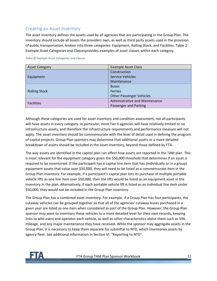## <span id="page-10-0"></span>Creating an Asset Inventory

The asset inventory defines the assets used by all agencies that are participating in the Group Plan. The inventory should include all assets the providers own, as well as third party assets used in the provision of public transportation, broken into three categories: Equipment, Rolling Stock, and Facilities[. Table 2:](#page-10-1) [Example Asset Categories and Classesp](#page-10-1)rovides examples of asset classes within each category.

| <b>Asset Category</b> | <b>Example Asset Class</b>            |  |
|-----------------------|---------------------------------------|--|
|                       | Construction                          |  |
| Equipment             | Service Vehicles                      |  |
|                       | Maintenance                           |  |
|                       | <b>Buses</b>                          |  |
| <b>Rolling Stock</b>  | <b>Ferries</b>                        |  |
|                       | <b>Other Passenger Vehicles</b>       |  |
|                       | <b>Administrative and Maintenance</b> |  |
| <b>Facilities</b>     | Passenger and Parking                 |  |

<span id="page-10-1"></span>*Table 2: Example Asset Categories and Classes*

Although these categories are used for asset inventory and condition assessment, not all participants will have assets in every category. In particular, most Tier II agencies will have relatively limited or no infrastructure assets, and therefore the infrastructure requirements and performance measure will not apply. The asset inventory should be commensurate with the level of detail used in defining the program of capital projects. Group Plan sponsors may determine that additional assets or a more detailed breakdown of assets should be included in the asset inventory, beyond those defined by FTA.

The way assets are identified in the capital plan can affect how assets are reported in the TAM plan. This is most relevant for the equipment category given the \$50,000 threshold that determines if an asset is required to be inventoried. If the participant has a capital line item that has (individually or in a group) equipment assets that value over \$50,000, they will need to be listed as a commensurate item in the Group Plan inventory. For example, if a participant's capital plan lists its purchase of multiple portable vehicle lifts as one line item over \$50,000, then the lifts would be listed as an equipment asset in the inventory in the plan. Alternatively, if each portable vehicle lift is listed as an individual line item under \$50,000, they would not be included in the Group Plan inventory.

The Group Plan has a combined asset inventory. For example, if a Group Plan has four participants, the cutaway vehicles can be grouped together so that all of the agencies' cutaway buses purchased in a given year are listed as one item when considered as part of the Group Plan. However, the Group Plan sponsor may want to inventory these vehicles to a more detailed level for their own records, keeping links to who owns and operates each vehicle, as well as other characteristics about them such as VIN, mileage, and any major maintenance they have received. While the sponsor may aggregate assets in the Group Plan, it is necessary to keep them separate for submittal to NTD, which inventories assets by agency fleet. See additional information in Section [VI:](#page-8-1) "Reporting to NTD".

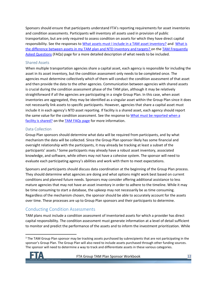Sponsors should ensure that participants understand FTA's reporting requirements for asset inventories and condition assessments. Participants will inventory all assets used in provision of public transportation, but are only required to assess condition on assets for which they have direct capital responsibility. See the responses to [What assets must I include in a TAM asset inventory?](https://www.transit.dot.gov/TAM/gettingstarted/htmlFAQs#Assets) and [What is](https://www.transit.dot.gov/TAM/gettingstarted/FAQsArchive#TAMvNTD)  [the difference between assets in my TAM plan and NTD inventory and targets?](https://www.transit.dot.gov/TAM/gettingstarted/FAQsArchive#TAMvNTD) on the TAM [Frequently](https://www.transit.dot.gov/TAM/gettingstarted/htmlFAQs)  [Asked Questions](https://www.transit.dot.gov/TAM/gettingstarted/htmlFAQs) (FAQs) page for a more detailed description of what needs to be included.

#### Shared Assets

When multiple transportation agencies share a capital asset, each agency is responsible for including the asset in its asset inventory, but the condition assessment only needs to be completed once. The agencies must determine collectively which of them will conduct the condition assessment of that asset and then provide the data to the other agencies. Communication between agencies with shared assets is crucial during the condition assessment phase of the TAM plan, although it may be relatively straightforward if all the agencies are participating in a single Group Plan. In this case, when asset inventories are aggregated, they may be identified as a singular asset within the Group Plan since it does not necessarily link assets to specific participants. However, agencies that share a capital asset must include it in each agency's NTD asset reporting. If facility is a shared asset, each agency should report the same value for the condition assessment. See the response to [What must be reported when a](https://www.transit.dot.gov/TAM/gettingstarted/FAQsArchive#CA_shared_resp)  [facility is shared?](https://www.transit.dot.gov/TAM/gettingstarted/FAQsArchive#CA_shared_resp) on the [TAM FAQs page](https://www.transit.dot.gov/TAM/gettingstarted/htmlFAQs) for more information.

#### Data Collection

Group Plan sponsors should determine what data will be required from participants, and by what mechanism the data will be collected. Since the Group Plan sponsor likely has some financial and oversight relationship with the participants, it may already be tracking at least a subset of the participants' assets.<sup>3</sup> Some participants may already have a robust asset inventory, associated knowledge, and software, while others may not have a cohesive system. The sponsor will need to evaluate each participating agency's abilities and work with them to meet expectations.

Sponsors and participants should discuss data coordination at the beginning of the Group Plan process. They should determine what agencies are doing and what options might work best based on current conditions and planned future needs. Sponsors may consider offering additional assistance to less mature agencies that may not have an asset inventory in order to adhere to the timeline. While it may be time consuming to start a database, the upkeep may not necessarily be as time consuming. Regardless of the mechanism chosen, the sponsor should be able to accurately account for the assets over time. These processes are up to Group Plan sponsors and their participants to determine.

## <span id="page-11-0"></span>Conducting Condition Assessments

TAM plans must include a condition assessment of inventoried assets for which a provider has direct capital responsibility. The condition assessment must generate information at a level of detail sufficient to monitor and predict the performance of the assets and to inform the investment prioritization. While

<sup>&</sup>lt;sup>3</sup> The TAM Group Plan sponsor may be tracking assets purchased by subrecipients that are not participating in the sponsor's Group Plan. The Group Plan will also need to include assets purchased through other funding sources. The sponsor will need to determine a way to track and differentiate assets in these various categories.

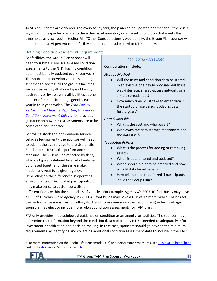TAM plan updates are only required every four years, the plan can be updated or amended if there is a significant, unexpected change to the either asset inventory or an asset's condition that meets the thresholds as described in Section [VII:](#page-19-0) "Other Considerations". Additionally, the Group Plan sponsor will update at least 25 percent of the facility condition data submitted to NTD annually.

#### Defining Condition Assessment Requirements

For facilities, the Group Plan sponsor will need to submit TERM scale-based condition assessments to the NTD. Facility condition data must be fully updated every four years. The sponsor can develop various sampling schemes to address all the group's facilities such as: assessing all of one type of facility each year, or by assessing all facilities at one quarter of the participating agencies each year in four-year cycles. The *[TAM Facility](https://www.transit.dot.gov/regulations-and-guidance/asset-management/tam-facility-performance-measure-reporting-guidebook)  [Performance Measure Reporting Guidebook:](https://www.transit.dot.gov/regulations-and-guidance/asset-management/tam-facility-performance-measure-reporting-guidebook)  [Condition Assessment Calculation](https://www.transit.dot.gov/regulations-and-guidance/asset-management/tam-facility-performance-measure-reporting-guidebook)* provides guidance on how these assessments are to be completed and reported.

For rolling stock and non-revenue service vehicles (equipment), the sponsor will need to submit the age relative to the Useful Life Benchmark (ULB) as the performance measure. The ULB will be reported by fleet, which is typically defined by a set of vehicles purchased together of the same make, model, and year for a given agency. Depending on the differences in operating environments of Group Plan participants, it may make sense to customize ULBs for

#### *Managing Asset Data*

Considerations include:

#### *Storage Method*

- Will the asset and condition data be stored in an existing or a newly procured database, web-interface, shared-access network, or a simple spreadsheet?
- How much time will it take to enter data in the startup phase versus updating data in future years?

#### *Data Ownership*

- What is the cost and who pays it?
- Who owns the data storage mechanism and the data itself?

#### *Associated Policies*

- What is the process for adding or removing assets?
- When is data entered and updated?
- When should old data be archived and how will old data be retrieved?
- How will data be transferred if participants leave the Group Plan?

different fleets within the same class of vehicles. For example, Agency X's 2005 40-foot buses may have a ULB of 15 years, while Agency Y's 2011 40-foot buses may have a ULB of 12 years. While FTA has set the performance measures for rolling stock and non-revenue vehicles (equipment) in terms of age, sponsors may elect to include more robust condition assessments for TAM plans.<sup>4</sup>

FTA only provides methodological guidance on condition assessments for facilities. The sponsor may determine that information beyond the condition data required by NTD is needed to adequately inform investment prioritization and decision-making. In that case, sponsors should go beyond the minimum requirements by identifying and collecting additional condition assessment data to include in the TAM

<sup>&</sup>lt;sup>4</sup> For more information on the Useful Life Benchmark (ULB) and performance measures, see [FTA's ULB Cheat Sheet](https://www.transit.dot.gov/TAM/ULBcheatsheet) and th[e Performance Measures Fact Sheet.](https://www.transit.dot.gov/TAM/FTAOutreachMaterials/perfmsrFS)

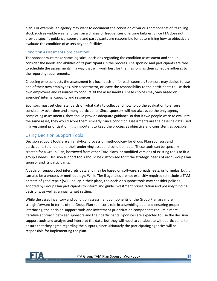plan. For example, an agency may want to document the condition of various components of its rolling stock such as visible wear and tear on a chassis or frequencies of engine failures. Since FTA does not provide specific guidance, sponsors and participants are responsible for determining how to objectively evaluate the condition of assets beyond facilities.

#### Condition Assessment Considerations

The sponsor must make some logistical decisions regarding the condition assessment and should consider the needs and abilities of its participants in the process. The sponsor and participants are free to schedule the assessments in a way that will work best for them as long as their schedule adheres to the reporting requirements.

Choosing who conducts the assessment is a local decision for each sponsor. Sponsors may decide to use one of their own employees, hire a contractor, or leave the responsibility to the participants to use their own employees and resources to conduct all the assessments. These choices may vary based on agencies' internal capacity and resources.

Sponsors must set clear standards on what data to collect and how to do the evaluation to ensure consistency over time and among participants. Since sponsors will not always be the only agency completing assessments, they should provide adequate guidance so that if two people were to evaluate the same asset, they would score them similarly. Since condition assessments are the baseline data used in investment prioritization, it is important to keep the process as objective and consistent as possible.

## <span id="page-13-0"></span>Using Decision Support Tools

Decision support tools are an analytical process or methodology for Group Plan sponsors and participants to understand their underlying asset and condition data. These tools can be specially created for a Group Plan, borrowed from other TAM plans, or modified versions of existing tools to fit a group's needs. Decision support tools should be customized to fit the strategic needs of each Group Plan sponsor and its participants.

A decision support tool interprets data and may be based on software, spreadsheets, or formulas, but it can also be a process or methodology. While Tier II agencies are not explicitly required to include a TAM or state of good repair (SGR) policy in their plans, the decision support tools may consider policies adopted by Group Plan participants to inform and guide investment prioritization and possibly funding decisions, as well as annual target setting.

While the asset inventory and condition assessment components of the Group Plan are more straightforward in terms of the Group Plan sponsor's role in assembling data and ensuring proper interfacing, the decision support tools and investment prioritization components require a more iterative approach between sponsors and their participants. Sponsors are expected to use the decision support tools and analyze and interpret the data, but they will need to collaborate with participants to ensure that they agree regarding the outputs, since ultimately the participating agencies will be responsible for implementing the plan.

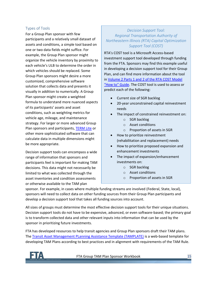### Types of Tools

For a Group Plan sponsor with few participants and a relatively small dataset of assets and conditions, a simple tool based on one or two data fields might suffice. For example, the Group Plan sponsor might organize the vehicle inventory by proximity to each vehicle's ULB to determine the order in which vehicles should be replaced. Some Group Plan sponsors might desire a more customized, comprehensive software solution that collects data and presents it visually in addition to numerically. A Group Plan sponsor might create a weighted formula to understand more nuanced aspects of its participants' assets and asset conditions, such as weighting metrics for vehicle age, mileage, and maintenance strategy. For larger or more advanced Group Plan sponsors and participants, [TERM Lite](https://www.transit.dot.gov/TAM/TERMLite) or other more sophisticated software that can calculate data in multiple dimensions might be more appropriate.

Decision support tools can encompass a wide range of information that sponsors and participants feel is important for making TAM decisions. This data might not necessarily be limited to what was collected through the asset inventories and condition assessments or otherwise available to the TAM plan

#### *Decision Support Tool: Regional Transportation Authority of Northeastern Illinois (RTA) Capital Optimization Support Tool (COST)*

RTA's COST tool is a Microsoft Access-based investment support tool developed through funding from the FTA. Sponsors may find this example useful in developing a decision support tool for their Group Plan, and can find more information about the tool i[n Volume 2 Parts 1 and 2 of the RTA COST Model](https://www.transit.dot.gov/sites/fta.dot.gov/files/docs/RTA_Final_Rpt._COMBINED_TAM_Pilot_Grant_v1.pdf)  ["How to" Guide](https://www.transit.dot.gov/sites/fta.dot.gov/files/docs/RTA_Final_Rpt._COMBINED_TAM_Pilot_Grant_v1.pdf). The COST tool is used to assess or predict each of the following:

- Current size of SGR backlog
- 20-year unconstrained capital reinvestment needs
- The impact of constrained reinvestment on:
	- o SGR backlog
	- o Asset conditions
	- o Proportion of assets in SGR
- How to prioritize reinvestment (rehabilitation and replacement) needs
- How to prioritize proposed expansion and enhancement investments
- The impact of expansion/enhancement investments on:
	- o SGR backlog
	- o Asset conditions
	- o Proportion of assets in SGR

sponsor. For example, in cases where multiple funding streams are involved (Federal, State, local), sponsors will need to collect data on other funding sources from their Group Plan participants and develop a decision support tool that takes all funding sources into account.

All sizes of groups must determine the most effective decision support tools for their unique situations. Decision support tools do not have to be expensive, advanced, or even software-based; the primary goal is to transform collected data and other relevant inputs into information that can be used by the sponsor in prioritizing future investments.

FTA has developed resources to help transit agencies and Group Plan sponsors draft their TAM plans. The [Transit Asset Management PLanning Assistance Template \(TAMPLATE\)](https://www.transit.dot.gov/regulations-and-programs/asset-management/tamplate) is a web-based template for developing TAM Plans according to best practices and in alignment with requirements of the TAM Rule.

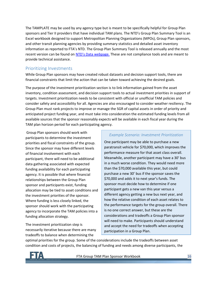The TAMPLATE may be used by any agency type but is meant to be specifically helpful for Group Plan sponsors and Tier II providers that have individual TAM plans. The NTD's Group Plan Summary Tool is an Excel workbook designed to support Metropolitan Planning Organizations (MPOs), Group Plan sponsors, and other transit planning agencies by providing summary statistics and detailed asset inventory information as reported to FTA's NTD. The Group Plan Summary Tool is released annually and the most recent version can be found on NTD's [Data webpage.](https://www.transit.dot.gov/ntd/ntd-data) These are not compliance tools and are meant to provide technical assistance.

## <span id="page-15-0"></span>Prioritizing Investments

While Group Plan sponsors may have created robust datasets and decision support tools, there are financial constraints that limit the action that can be taken toward achieving the desired goals.

The purpose of the investment prioritization section is to link information gained from the asset inventory, condition assessment, and decision support tools to actual investment priorities in support of targets. Investment prioritization needs to be consistent with official or unofficial TAM policies and consider safety and accessibility for all. Agencies are also encouraged to consider weather resiliency. The Group Plan must rank projects to improve or manage the SGR of capital assets in order of priority and anticipated project funding year, and must take into consideration the estimated funding levels from all available sources that the sponsor reasonably expects will be available in each fiscal year during the TAM plan horizon period for each participating agency.

Group Plan sponsors should work with participants to determine the investment priorities and fiscal constraints of the group. Since the sponsor may have different levels of financial involvement with each participant, there will need to be additional data gathering associated with expected funding availability for each participating agency. It is possible that where financial relationships between the Group Plan sponsor and participants exist, funding allocation may be tied to asset conditions and the investment priorities of the sponsor. Where funding is less closely linked, the sponsor should work with the participating agency to incorporate the TAM policies into a funding allocation strategy.

The investment prioritization step is necessarily iterative because there are many tradeoffs to balance when determining the

#### *Example Scenario: Investment Prioritization*

One participant may be able to purchase a new paratransit vehicle for \$70,000, which improves the performance measure for that asset class overall. Meanwhile, another participant may have a 30' bus in a much worse condition. They would need more than the \$70,000 available this year, but could purchase a new 30' bus if the sponsor saves the \$70,000 and adds it to next year's funds. The sponsor must decide how to determine if one participant gets a new van this year versus a different agency getting a new bus next year, and how the relative condition of each asset relates to the performance targets for the group overall. There is no one correct answer, but these are the considerations and tradeoffs a Group Plan sponsor will need to make. Participants should understand and accept the need for tradeoffs when accepting participation in a Group Plan.

optimal priorities for the group. Some of the considerations include the tradeoffs between asset condition and costs of projects, the balancing of funding and needs among diverse participants, the

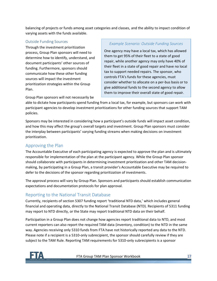balancing of projects or funds among asset categories and classes, and the ability to impact condition of varying assets with the funds available.

#### Outside Funding Sources

Through the investment prioritization process, Group Plan sponsors will need to determine how to identify, understand, and document participants' other sources of funding. Furthermore, sponsors should communicate how these other funding sources will impact the investment prioritization strategies within the Group Plan.

Group Plan sponsors will not necessarily be

#### *Example Scenario: Outside Funding Sources*

One agency may have a local tax, which has allowed them to get 95% of their fleet to a state of good repair, while another agency may only have 40% of their fleet in a state of good repair and have no local tax to support needed repairs. The sponsor, who controls FTA's funds for these agencies, must consider whether to allocate on a per-bus basis or to give additional funds to the second agency to allow them to improve their overall state of good repair.

able to dictate how participants spend funding from a local tax, for example, but sponsors can work with participant agencies to develop investment prioritizations for other funding sources that support TAM policies.

Sponsors may be interested in considering how a participant's outside funds will impact asset condition, and how this may affect the group's overall targets and investment. Group Plan sponsors must consider the interplay between participants' varying funding streams when making decisions on investment prioritization.

## <span id="page-16-0"></span>Approving the Plan

The Accountable Executive of each participating agency is expected to approve the plan and is ultimately responsible for implementation of the plan at the participant agency. While the Group Plan sponsor should collaborate with participants in determining investment prioritization and other TAM decisionmaking, by participating in a Group Plan, a transit provider's Accountable Executive may be required to defer to the decisions of the sponsor regarding prioritization of investments.

The approval process will vary by Group Plan. Sponsors and participants should establish communication expectations and documentation protocols for plan approval.

## <span id="page-16-1"></span>Reporting to the National Transit Database

Currently, recipients of section 5307 funding report 'traditional NTD data,' which includes general financial and operating data, directly to the National Transit Database (NTD). Recipients of 5311 funding may report to NTD directly, or the State may report traditional NTD data on their behalf.

Participation in a Group Plan does not change how agencies report traditional data to NTD, and most current reporters can also report the required TAM data (inventory, condition) to the NTD in the same way. Agencies receiving only 5310 funds from FTA have not historically reported any data to the NTD. Please note if a recipient is a 5310-only subrecipient, the sponsor should carefully review if they are subject to the TAM Rule. Reporting TAM requirements for 5310-only subrecipients is a sponsor

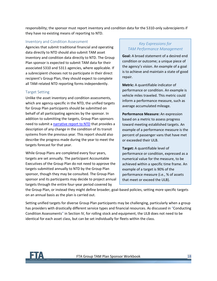responsibility; the sponsor must report inventory and condition data for the 5310-only subrecipients if they have no existing means of reporting to NTD.

#### Inventory and Condition Assessment

Agencies that submit traditional financial and operating data directly to NTD should also submit TAM asset inventory and condition data directly to NTD. The Group Plan sponsor is expected to submit TAM data for their associated 5310 and 5311 agencies, where applicable. If a subrecipient chooses not to participate in their direct recipient's Group Plan, they should expect to complete all TAM-related NTD reporting forms independently.

#### Target Setting

Unlike the asset inventory and condition assessments, which are agency-specific in the NTD, the unified targets for Group Plan participants should be submitted on behalf of all participating agencies by the sponsor. In addition to submitting the targets, Group Plan sponsors need to submit a [narrative report to NTD](https://www.transit.dot.gov/regulations-and-programs/asset-management/ntd-narrative-report-example-format) that provides a description of any change in the condition of its transit systems from the previous year. This report should also describe the progress made during the year to meet the targets forecast for that year.

While Group Plans are completed every four years, targets are set annually. The participant Accountable Executives of the Group Plan do not need to approve the targets submitted annually to NTD by the Group Plan sponsor, though they may be consulted. The Group Plan sponsor and its participants may decide to project annual targets through the entire four-year period covered by

### *Key Expressions for TAM Performance Management*

**Goal:** A broad statement of a desired end condition or outcome; a unique piece of the agency's vision. An example of a goal is to achieve and maintain a state of good repair.

**Metric:** A quantifiable indicator of performance or condition. An example is vehicle miles traveled. This metric could inform a performance measure, such as average accumulated mileage.

**Performance Measure:** An expression based on a metric to assess progress toward meeting established targets. An example of a performance measure is the percent of passenger vans that have met or exceeded their ULB.

**Target:** A quantifiable level of performance or condition, expressed as a numerical value for the measure, to be achieved within a specific time frame. An example of a target is 90% of the performance measure (i.e., % of assets that meet or exceed the ULB).

the Group Plan, or instead they might define broader, goal-based policies, setting more specific targets on an annual basis as the plan is carried out.

Setting unified targets for diverse Group Plan participants may be challenging, particularly when a group has providers with drastically different service types and financial resources. As discussed in "[Conducting](#page-11-0)  [Condition Assessments](#page-11-0)" in Section [IV,](#page-3-1) for rolling stock and equipment, the ULB does not need to be identical for each asset class, but can be set individually for fleets within the class.

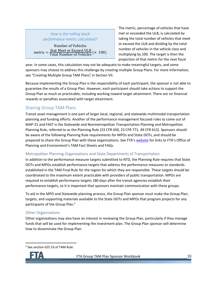

metric  $=$   $\frac{\text{that Meet or Excel ULB}}{\text{Total Number of Vohielos}}$ Number of Vehicles <u>that meet of Exceed OLB</u> (× 100)<br>Total Number of Vehicles

in the Vehicle Class of the Vehicle Class of the Vehicle Class of the Vehicle Class

The metric, percentage of vehicles that have met or exceeded the ULB, is calculated by taking the total number of vehicles that meet or exceed the ULB and dividing by the total number of vehicles in the vehicle class and multiplying by 100. The target is then the projection of that metric for the next fiscal

year. In some cases, this calculation may not be adequate to make meaningful targets, and some sponsors may choose to address this challenge by creating multiple Group Plans. For more information, sponsors may choose to address this enancinge by creat<br>see "[Creating Multiple Group TAM Plans](#page-19-3)" in Sectio[n VII.](#page-19-0) Oloup TAIVI Flatis III.

Because implementing the Group Plan is the responsibility of each participant, the sponsor is not able to guarantee the results of a Group Plan. However, each participant should take actions to support the Group Plan as much as practicable, including working toward target attainment. There are no financial rewards or penalties associated with target attainment.

## <span id="page-18-0"></span>Sharing Group TAM Plans

Transit asset management is one part of larger local, regional, and statewide multimodal transportation planning and funding efforts. Another of the performance management focused rules to come out of MAP-21 and FAST is the Statewide and Nonmetropolitan Transportation Planning and Metropolitan Planning Rule, referred to as the Planning Rule (23 CFR 450, 23 CFR 771, 49 CFR 613). Sponsors should be aware of the following Planning Rule requirements for MPOs and State DOTs, and should be prepared to share the Group Plan with these organizations. See FTA's [website](https://www.transit.dot.gov/performance-based-planning) for links to FTA's Office of Planning and Environment's TAM Fact Sheets and FAQs.

#### Metropolitan Planning Organizations and State Departments of Transportation

In addition to the performance measure targets submitted to NTD, the Planning Rule requires that State DOTs and MPOs establish performance targets that address the performance measures or standards established in the TAM Final Rule for the region for which they are responsible. These targets should be coordinated to the maximum extent practicable with providers of public transportation. MPOs are required to establish performance targets 180 days after the transit agencies establish their performance targets, so it is important that sponsors maintain communication with these groups.

To aid in the MPO and Statewide planning process, the Group Plan sponsor must make the Group Plan, targets, and supporting materials available to the State DOTs and MPOs that program projects for any participants of the Group Plan. 5

#### Other Organizations

Other organizations may also have an interest in reviewing the Group Plan, particularly if they manage funds that will be used for implementing the investment plan. The Group Plan sponsor will determine how to disseminate the Group Plan.

<sup>5</sup> See section 625.53 of TAM Rule.

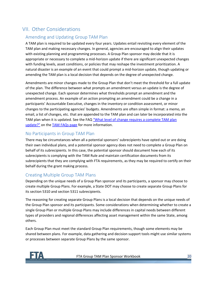# <span id="page-19-0"></span>VII. Other Considerations

## <span id="page-19-1"></span>Amending and Updating Group TAM Plan

A TAM plan is required to be updated every four years. Updates entail revisiting every element of the TAM plan and making necessary changes. In general, agencies are encouraged to align their updates with existing planning and programming processes. A Group Plan sponsor may decide that it is appropriate or necessary to complete a mid-horizon update if there are significant unexpected changes with funding levels, asset conditions, or policies that may reshape the investment prioritization. A natural disaster is an example of an event that could prompt a mid-horizon update, though updating or amending the TAM plan is a local decision that depends on the degree of unexpected change.

Amendments are minor changes made to the Group Plan that don't meet the threshold for a full update of the plan. The difference between what prompts an amendment versus an update is the degree of unexpected change. Each sponsor determines what thresholds prompt an amendment and the amendment process. An example of an action prompting an amendment could be a change in a participants' Accountable Executive, changes in the inventory or condition assessment, or minor changes to the participating agencies' budgets. Amendments are often simple in format: a memo, an email, a list of changes, etc. that are appended to the TAM plan and can later be incorporated into the TAM plan when it is updated. See the FAQ ["What level of change requires a complete TAM plan](https://www.transit.dot.gov/TAM/gettingstarted/htmlFAQs#PlanUpdate)  [update?"](https://www.transit.dot.gov/TAM/gettingstarted/htmlFAQs#PlanUpdate) on the [TAM FAQs page](https://www.transit.dot.gov/TAM/gettingstarted/htmlFAQs) for more information.

## <span id="page-19-2"></span>No Participants in Group TAM Plan

There may be circumstances when all a potential sponsors' subrecipients have opted out or are doing their own individual plans, and a potential sponsor agency does not need to complete a Group Plan on behalf of its subrecipients. In this case, the potential sponsor should document how each of its subrecipients is complying with the TAM Rule and maintain certification documents from its subrecipients that they are complying with FTA requirements, as they may be required to certify on their behalf during the grant making process.

## <span id="page-19-3"></span>Creating Multiple Group TAM Plans

Depending on the unique needs of a Group Plan sponsor and its participants, a sponsor may choose to create multiple Group Plans. For example, a State DOT may choose to create separate Group Plans for its section 5310 and section 5311 subrecipients.

The reasoning for creating separate Group Plans is a local decision that depends on the unique needs of the Group Plan sponsor and its participants. Some considerations when determining whether to create a single Group Plan or multiple Group Plans may include differences in capital needs between different types of providers and regional differences affecting asset management within the same State, among others.

Each Group Plan must meet the standard Group Plan requirements, though some elements may be shared between plans. For example, data gathering and decision support tools might use similar systems or processes between separate Group Plans by the same sponsor.

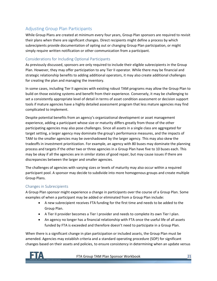## <span id="page-20-0"></span>Adjusting Group Plan Participants

While Group Plans are created at minimum every four years, Group Plan sponsors are required to revisit their plans when there are significant changes. Direct recipients might define a process by which subrecipients provide documentation of opting out or changing Group Plan participation, or might simply require written notification or other communication from a participant.

#### Considerations for Including Optional Participants

As previously discussed, sponsors are only required to include their eligible subrecipients in the Group Plan. However, they may offer participation to any Tier II operator. While there may be financial and strategic relationship benefits to adding additional operators, it may also create additional challenges for creating the plan and managing the inventory.

In some cases, including Tier II agencies with existing robust TAM programs may allow the Group Plan to build on those existing systems and benefit from their experience. Conversely, it may be challenging to set a consistently appropriate level of detail in terms of asset condition assessment or decision support tools if mature agencies have a highly detailed assessment program that less mature agencies may find complicated to implement.

Despite potential benefits from an agency's organizational development or asset management experience, adding a participant whose size or maturity differs greatly from those of the other participating agencies may also pose challenges. Since all assets in a single class are aggregated for target setting, a larger agency may dominate the group's performance measures, and the impacts of TAM to the smaller agencies may be overshadowed by the larger agency. This may also skew the tradeoffs in investment prioritization. For example, an agency with 80 buses may dominate the planning process and targets if the other two or three agencies in a Group Plan have five to 10 buses each. This may be okay if all the agencies are in similar states of good repair, but may cause issues if there are discrepancies between the larger and smaller agencies.

The challenges of agencies with varying sizes or levels of maturity may also occur within a required participant pool. A sponsor may decide to subdivide into more homogenous groups and create multiple Group Plans.

#### Changes in Subrecipients

A Group Plan sponsor might experience a change in participants over the course of a Group Plan. Some examples of when a participant may be added or eliminated from a Group Plan include:

- A new subrecipient receives FTA funding for the first time and needs to be added to the Group Plan.
- A Tier II provider becomes a Tier I provider and needs to complete its own Tier I plan.
- An agency no longer has a financial relationship with FTA once the useful life of all assets funded by FTA is exceeded and therefore doesn't need to participate in a Group Plan.

When there is a significant change in plan participation or included assets, the Group Plan must be amended. Agencies may establish criteria and a standard operating procedure (SOP) for significant changes based on their assets and policies, to ensure consistency in determining when an update versus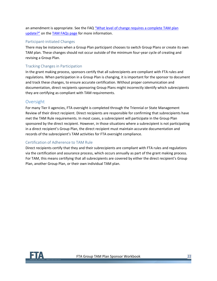an amendment is appropriate. See the FAQ ["What level of change requires a complete TAM plan](https://www.transit.dot.gov/TAM/gettingstarted/htmlFAQs#PlanUpdate)  [update?"](https://www.transit.dot.gov/TAM/gettingstarted/htmlFAQs#PlanUpdate) on the [TAM FAQs page](https://www.transit.dot.gov/TAM/gettingstarted/htmlFAQs) for more information.

#### Participant-initiated Changes

There may be instances when a Group Plan participant chooses to switch Group Plans or create its own TAM plan. These changes should not occur outside of the minimum four-year cycle of creating and revising a Group Plan.

#### Tracking Changes in Participation

In the grant making process, sponsors certify that all subrecipients are compliant with FTA rules and regulations. When participation in a Group Plan is changing, it is important for the sponsor to document and track these changes, to ensure accurate certification. Without proper communication and documentation, direct recipients sponsoring Group Plans might incorrectly identify which subrecipients they are certifying as compliant with TAM requirements.

#### <span id="page-21-0"></span>Oversight

For many Tier II agencies, FTA oversight is completed through the Triennial or State Management Review of their direct recipient. Direct recipients are responsible for confirming that subrecipients have met the TAM Rule requirements. In most cases, a subrecipient will participate in the Group Plan sponsored by the direct recipient. However, in those situations where a subrecipient is not participating in a direct recipient's Group Plan, the direct recipient must maintain accurate documentation and records of the subrecipient's TAM activities for FTA oversight compliance.

#### Certification of Adherence to TAM Rule

Direct recipients certify that they and their subrecipients are compliant with FTA rules and regulations via the certification and assurance process, which occurs annually as part of the grant making process. For TAM, this means certifying that all subrecipients are covered by either the direct recipient's Group Plan, another Group Plan, or their own individual TAM plan.

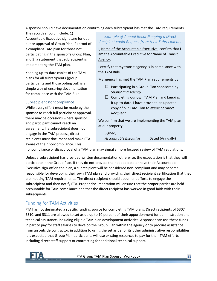A sponsor should have documentation confirming each subrecipient has met the TAM requirements.

The records should include: 1) Accountable Executive signature for optout or approval of Group Plan, 2) proof of a compliant TAM plan for those not participating in the sponsor's Group Plan, and 3) a statement that subrecipient is implementing the TAM plan.

Keeping up-to-date copies of the TAM plans for all subrecipients (group participants and those opting out) is a simple way of ensuring documentation for compliance with the TAM Rule.

#### Subrecipient noncompliance

While every effort must be made by the sponsor to reach full participant approval, there may be occasions where sponsor and participant cannot reach an agreement. If a subrecipient does not engage in the TAM process, direct recipients must document and make FTA aware of their noncompliance. This

#### *Example of Annual Recordkeeping a Direct Recipient could Request from their Subrecipients*

I, Name of the Accountable Executive, confirm that I am the Accountable Executive for Name of Transit Agency.

I certify that my transit agency is in compliance with the TAM Rule.

My agency has met the TAM Plan requirements by

- $\Box$  Participating in a Group Plan sponsored by *Sponsoring Agency*
- $\square$  Completing our own TAM Plan and keeping it up-to-date. I have provided an updated copy of our TAM Plan to *Name of Direct Recipient*

We confirm that we are implementing the TAM plan at our property.

Signed, *Accountable Executive* Dated (Annually)

noncompliance or disapproval of a TAM plan may signal a more focused review of TAM regulations.

Unless a subrecipient has provided written documentation otherwise, the expectation is that they will participate in the Group Plan. If they do not provide the needed data or have their Accountable Executive sign-off on the plan, a subrecipient will be considered non-compliant and may become responsible for developing their own TAM plan and providing their direct recipient certification that they are meeting TAM requirements. The direct recipient should document efforts to engage the subrecipient and then notify FTA. Proper documentation will ensure that the proper parties are held accountable for TAM compliance and that the direct recipient has worked in good faith with their subrecipients.

## <span id="page-22-0"></span>Funding for TAM Activities

FTA has not designated a specific funding source for completing TAM plans. Direct recipients of 5307, 5310, and 5311 are allowed to set aside up to 10 percent of their apportionment for administration and technical assistance, including eligible TAM plan development activities. A sponsor can use these funds in part to pay for staff salaries to develop the Group Plan within the agency or to procure assistance from an outside contractor, in addition to using the set aside for its other administrative responsibilities. It is expected that Group Plan participants will use existing resources to pay for their TAM efforts, including direct staff support or contracting for additional technical support.

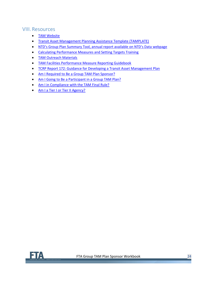# <span id="page-23-0"></span>VIII. Resources

- [TAM Website](https://www.transit.dot.gov/TAM)
- [Transit Asset Management Planning Assistance Template \(TAMPLATE\)](https://www.transit.dot.gov/regulations-and-programs/asset-management/tamplate)
- NTD's Group Plan Summary Tool, annual rep[ort available on NTD's Data webpage](https://www.transit.dot.gov/ntd/ntd-data)
- [Calculating Performance Measures and Setting Targets Training](https://tsi-dot.csod.com/LMS/LoDetails/DetailsLo.aspx?loid=74530611-3dea-4130-b560-3989849c19a4&query=%3Fs%3D1%26q%3D%23q%3Dcalculating%252520performance%252520measures%26s%3D1%26a%3D&back=%2FGlobalSearch%2FSearch.aspx%3Fs%3D1%26q%3D%23q%3Dcalculating%252520performance%252520measures%26s%3D1%26a%3D#t=1)
- [TAM Outreach Materials](https://www.transit.dot.gov/TAM/Outreach)
- [TAM Facilities Performance Measure Reporting Guidebook](https://www.transit.dot.gov/regulations-and-guidance/asset-management/tam-facility-performance-measure-reporting-guidebook)
- [TCRP Report 172: Guidance for Developing a Transit Asset Management Plan](http://www.trb.org/Main/Blurbs/171285.aspx)
- [Am I Required to Be a Group TAM Plan Sponsor?](https://www.transit.dot.gov/TAM/gettingstarted/Sponsor_workflow)
- [Am I Going to Be a Participant in a Group TAM Plan?](https://www.transit.dot.gov/TAM/gettingstarted/GroupPlanParticipant_workflow)
- [Am I in Compliance with](https://www.transit.dot.gov/TAM/gettingstarted/RuleCompliance_workflow) the TAM Final Rule?
- [Am I a Tier I or Tier II Agency?](https://www.transit.dot.gov/TAM/gettingstarted/TierI-II_workflow)

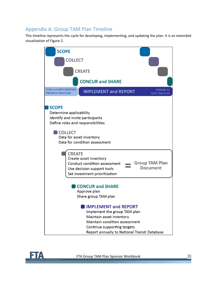# <span id="page-24-0"></span>Appendix A: Group TAM Plan Timeline

This timeline represents the cycle for developing, implementing, and updating the plan. It is an extended visualization of [Figure 2.](#page-6-1)



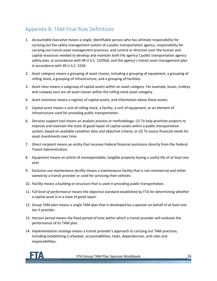# <span id="page-25-0"></span>Appendix B: TAM Final Rule Definitions

- 1. *Accountable Executive* means a single, identifiable person who has ultimate responsibility for carrying out the safety management system of a public transportation agency; responsibility for carrying out transit asset management practices; and control or direction over the human and capital resources needed to develop and maintain both the agency's public transportation agency safety plan, in accordance with 49 U.S.C. 5329(d), and the agency's transit asset management plan in accordance with 49 U.S.C. 5326.
- 2. *Asset category* means a grouping of asset classes, including a grouping of equipment, a grouping of rolling stock, a grouping of infrastructure, and a grouping of facilities.
- 3. *Asset class* means a subgroup of capital assets within an asset category. For example, buses, trolleys, and cutaway vans are all asset classes within the rolling stock asset category.
- 4. *Asset inventory* means a register of capital assets, and information about those assets.
- 5. *Capital asset* means a unit of rolling stock, a facility, a unit of equipment, or an element of infrastructure used for providing public transportation.
- 6. *Decision support tool* means an analytic process or methodology: (1) To help prioritize projects to improve and maintain the state of good repair of capital assets within a public transportation system, based on available condition data and objective criteria; or (2) To assess financial needs for asset investments over time.
- 7. *Direct recipient* means an entity that receives Federal financial assistance directly from the Federal Transit Administration.
- 8. *Equipment* means an article of nonexpendable, tangible property having a useful life of at least one year.
- 9. *Exclusive-use maintenance facility* means a maintenance facility that is not commercial and either owned by a transit provider or used for servicing their vehicles.
- 10. *Facility* means a building or structure that is used in providing public transportation.
- 11. *Full level of performance* means the objective standard established by FTA for determining whether a capital asset is in a state of good repair.
- 12. *Group TAM plan* means a single TAM plan that is developed by a sponsor on behalf of at least one tier II provider.
- 13. *Horizon period* means the fixed period of time within which a transit provider will evaluate the performance of its TAM plan.
- 14. *Implementation strategy* means a transit provider's approach to carrying out TAM practices, including establishing a schedule, accountabilities, tasks, dependencies, and roles and responsibilities.

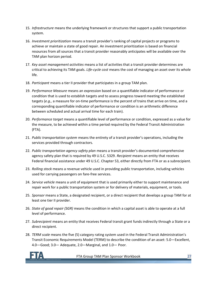- 15. *Infrastructure* means the underlying framework or structures that support a public transportation system.
- 16. *Investment prioritization* means a transit provider's ranking of capital projects or programs to achieve or maintain a state of good repair. An investment prioritization is based on financial resources from all sources that a transit provider reasonably anticipates will be available over the TAM plan horizon period.
- 17. *Key asset management activities* means a list of activities that a transit provider determines are critical to achieving its TAM goals. *Life-cycle cost* means the cost of managing an asset over its whole life.
- 18. *Participant* means a tier II provider that participates in a group TAM plan.
- 19. *Performance Measure* means an expression based on a quantifiable indicator of performance or condition that is used to establish targets and to assess progress toward meeting the established targets (*e.g.,* a measure for on-time performance is the percent of trains that arrive on time, and a corresponding quantifiable indicator of performance or condition is an arithmetic difference between scheduled and actual arrival time for each train).
- 20. *Performance target* means a quantifiable level of performance or condition, expressed as a value for the measure, to be achieved within a time period required by the Federal Transit Administration (FTA).
- 21. *Public transportation system* means the entirety of a transit provider's operations, including the services provided through contractors.
- 22. *Public transportation agency safety plan* means a transit provider's documented comprehensive agency safety plan that is required by 49 U.S.C. 5329. *Recipient* means an entity that receives Federal financial assistance under 49 U.S.C. Chapter 53, either directly from FTA or as a subrecipient.
- 23. *Rolling stock* means a revenue vehicle used in providing public transportation, including vehicles used for carrying passengers on fare-free services.
- 24. *Service vehicle* means a unit of equipment that is used primarily either to support maintenance and repair work for a public transportation system or for delivery of materials, equipment, or tools.
- 25. *Sponsor* means a State, a designated recipient, or a direct recipient that develops a group TAM for at least one tier II provider.
- 26. *State of good repair (SGR)* means the condition in which a capital asset is able to operate at a full level of performance.
- 27. *Subrecipient* means an entity that receives Federal transit grant funds indirectly through a State or a direct recipient.
- 28. *TERM scale* means the five (5) category rating system used in the Federal Transit Administration's Transit Economic Requirements Model (TERM) to describe the condition of an asset: 5.0—Excellent, 4.0—Good; 3.0— Adequate, 2.0—Marginal, and 1.0— Poor.